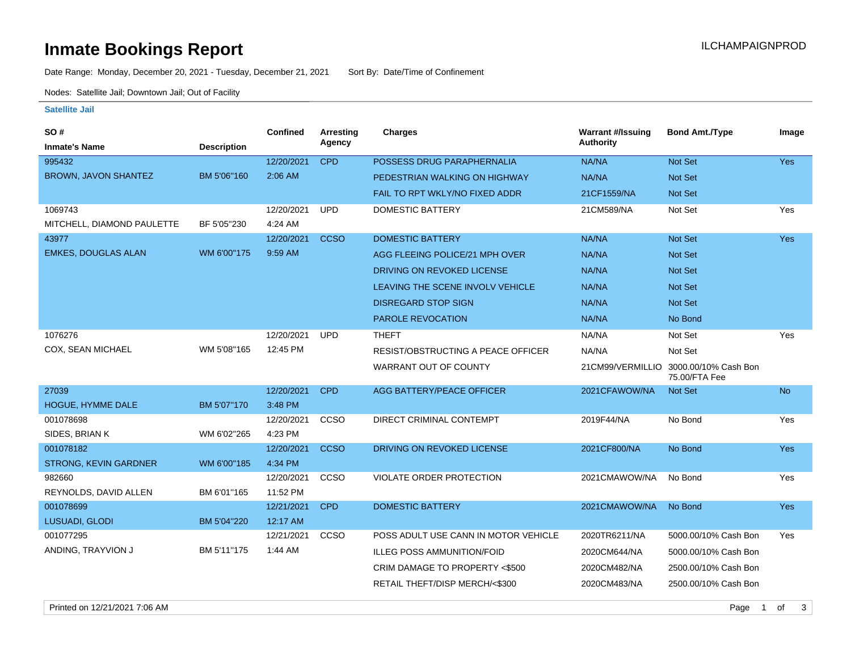# **Inmate Bookings Report Installation Control Control Control Control Control Control Control Control Control Control Control Control Control Control Control Control Control Control Control Control Control Control Control**

Date Range: Monday, December 20, 2021 - Tuesday, December 21, 2021 Sort By: Date/Time of Confinement

Nodes: Satellite Jail; Downtown Jail; Out of Facility

#### **Satellite Jail**

| SO #                         |                    | <b>Confined</b> | <b>Arresting</b> | <b>Charges</b>                            | <b>Warrant #/Issuing</b> | <b>Bond Amt./Type</b>                                  | Image      |
|------------------------------|--------------------|-----------------|------------------|-------------------------------------------|--------------------------|--------------------------------------------------------|------------|
| <b>Inmate's Name</b>         | <b>Description</b> |                 | Agency           |                                           | <b>Authority</b>         |                                                        |            |
| 995432                       |                    | 12/20/2021      | <b>CPD</b>       | POSSESS DRUG PARAPHERNALIA                | NA/NA                    | Not Set                                                | Yes        |
| BROWN, JAVON SHANTEZ         | BM 5'06"160        | 2:06 AM         |                  | PEDESTRIAN WALKING ON HIGHWAY             | NA/NA                    | <b>Not Set</b>                                         |            |
|                              |                    |                 |                  | FAIL TO RPT WKLY/NO FIXED ADDR            | 21CF1559/NA              | Not Set                                                |            |
| 1069743                      |                    | 12/20/2021      | <b>UPD</b>       | DOMESTIC BATTERY                          | 21CM589/NA               | Not Set                                                | Yes        |
| MITCHELL, DIAMOND PAULETTE   | BF 5'05"230        | 4:24 AM         |                  |                                           |                          |                                                        |            |
| 43977                        |                    | 12/20/2021      | <b>CCSO</b>      | <b>DOMESTIC BATTERY</b>                   | NA/NA                    | Not Set                                                | <b>Yes</b> |
| <b>EMKES, DOUGLAS ALAN</b>   | WM 6'00"175        | 9:59 AM         |                  | AGG FLEEING POLICE/21 MPH OVER            | NA/NA                    | Not Set                                                |            |
|                              |                    |                 |                  | DRIVING ON REVOKED LICENSE                | NA/NA                    | Not Set                                                |            |
|                              |                    |                 |                  | LEAVING THE SCENE INVOLV VEHICLE          | NA/NA                    | Not Set                                                |            |
|                              |                    |                 |                  | <b>DISREGARD STOP SIGN</b>                | NA/NA                    | <b>Not Set</b>                                         |            |
|                              |                    |                 |                  | <b>PAROLE REVOCATION</b>                  | NA/NA                    | No Bond                                                |            |
| 1076276                      |                    | 12/20/2021      | <b>UPD</b>       | <b>THEFT</b>                              | NA/NA                    | Not Set                                                | Yes        |
| COX, SEAN MICHAEL            | WM 5'08"165        | 12:45 PM        |                  | <b>RESIST/OBSTRUCTING A PEACE OFFICER</b> | NA/NA                    | Not Set                                                |            |
|                              |                    |                 |                  | WARRANT OUT OF COUNTY                     |                          | 21CM99/VERMILLIO 3000.00/10% Cash Bon<br>75.00/FTA Fee |            |
| 27039                        |                    | 12/20/2021      | <b>CPD</b>       | AGG BATTERY/PEACE OFFICER                 | 2021CFAWOW/NA            | Not Set                                                | <b>No</b>  |
| HOGUE, HYMME DALE            | BM 5'07"170        | 3:48 PM         |                  |                                           |                          |                                                        |            |
| 001078698                    |                    | 12/20/2021      | CCSO             | DIRECT CRIMINAL CONTEMPT                  | 2019F44/NA               | No Bond                                                | Yes        |
| SIDES, BRIAN K               | WM 6'02"265        | 4:23 PM         |                  |                                           |                          |                                                        |            |
| 001078182                    |                    | 12/20/2021      | <b>CCSO</b>      | DRIVING ON REVOKED LICENSE                | 2021CF800/NA             | No Bond                                                | <b>Yes</b> |
| <b>STRONG, KEVIN GARDNER</b> | WM 6'00"185        | 4:34 PM         |                  |                                           |                          |                                                        |            |
| 982660                       |                    | 12/20/2021      | CCSO             | VIOLATE ORDER PROTECTION                  | 2021CMAWOW/NA            | No Bond                                                | Yes        |
| REYNOLDS, DAVID ALLEN        | BM 6'01"165        | 11:52 PM        |                  |                                           |                          |                                                        |            |
| 001078699                    |                    | 12/21/2021      | <b>CPD</b>       | <b>DOMESTIC BATTERY</b>                   | 2021CMAWOW/NA            | No Bond                                                | <b>Yes</b> |
| LUSUADI, GLODI               | BM 5'04"220        | 12:17 AM        |                  |                                           |                          |                                                        |            |
| 001077295                    |                    | 12/21/2021      | CCSO             | POSS ADULT USE CANN IN MOTOR VEHICLE      | 2020TR6211/NA            | 5000.00/10% Cash Bon                                   | Yes        |
| ANDING, TRAYVION J           | BM 5'11"175        | 1:44 AM         |                  | <b>ILLEG POSS AMMUNITION/FOID</b>         | 2020CM644/NA             | 5000.00/10% Cash Bon                                   |            |
|                              |                    |                 |                  | CRIM DAMAGE TO PROPERTY <\$500            | 2020CM482/NA             | 2500.00/10% Cash Bon                                   |            |
|                              |                    |                 |                  | RETAIL THEFT/DISP MERCH/<\$300            | 2020CM483/NA             | 2500.00/10% Cash Bon                                   |            |
|                              |                    |                 |                  |                                           |                          |                                                        |            |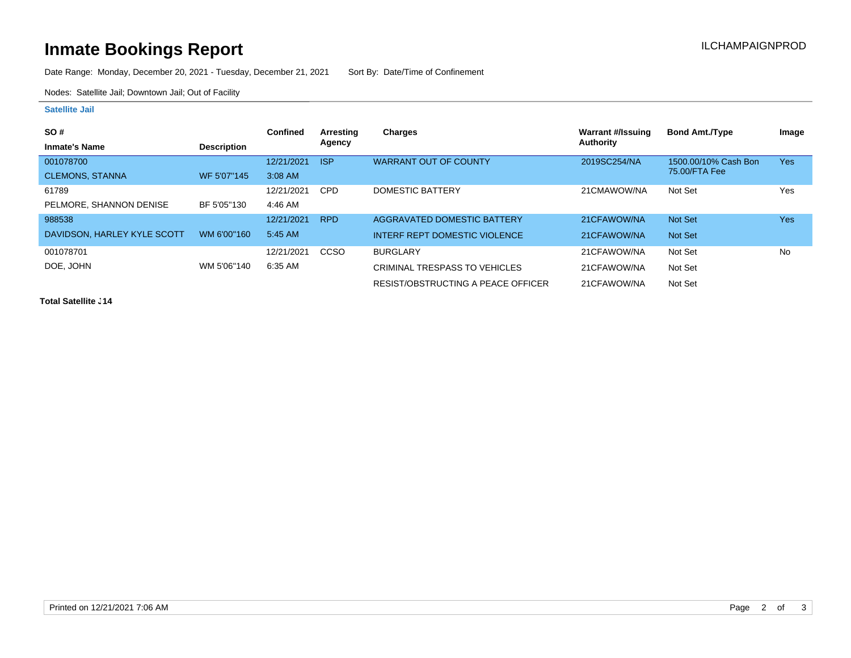# **Inmate Bookings Report Installation Control Control Control Control Control Control Control Control Control Control Control Control Control Control Control Control Control Control Control Control Control Control Control**

Date Range: Monday, December 20, 2021 - Tuesday, December 21, 2021 Sort By: Date/Time of Confinement

Nodes: Satellite Jail; Downtown Jail; Out of Facility

### **Satellite Jail**

| <b>SO#</b>                  |                    | <b>Confined</b> | Arresting   | <b>Charges</b>                       | Warrant #/Issuing | <b>Bond Amt./Type</b> | Image |
|-----------------------------|--------------------|-----------------|-------------|--------------------------------------|-------------------|-----------------------|-------|
| <b>Inmate's Name</b>        | <b>Description</b> |                 | Agency      |                                      | Authority         |                       |       |
| 001078700                   |                    | 12/21/2021      | <b>ISP</b>  | <b>WARRANT OUT OF COUNTY</b>         | 2019SC254/NA      | 1500.00/10% Cash Bon  | Yes   |
| <b>CLEMONS, STANNA</b>      | WF 5'07"145        | 3:08 AM         |             |                                      |                   | 75.00/FTA Fee         |       |
| 61789                       |                    | 12/21/2021      | <b>CPD</b>  | DOMESTIC BATTERY                     | 21CMAWOW/NA       | Not Set               | Yes   |
| PELMORE, SHANNON DENISE     | BF 5'05"130        | 4:46 AM         |             |                                      |                   |                       |       |
| 988538                      |                    | 12/21/2021      | <b>RPD</b>  | AGGRAVATED DOMESTIC BATTERY          | 21CFAWOW/NA       | Not Set               | Yes   |
| DAVIDSON, HARLEY KYLE SCOTT | WM 6'00"160        | 5:45 AM         |             | <b>INTERF REPT DOMESTIC VIOLENCE</b> | 21CFAWOW/NA       | Not Set               |       |
| 001078701                   |                    | 12/21/2021      | <b>CCSO</b> | <b>BURGLARY</b>                      | 21CFAWOW/NA       | Not Set               | No    |
| DOE. JOHN                   | WM 5'06"140        | 6:35 AM         |             | CRIMINAL TRESPASS TO VEHICLES        | 21CFAWOW/NA       | Not Set               |       |
|                             |                    |                 |             | RESIST/OBSTRUCTING A PEACE OFFICER   | 21CFAWOW/NA       | Not Set               |       |

**Total Satellite . 14**